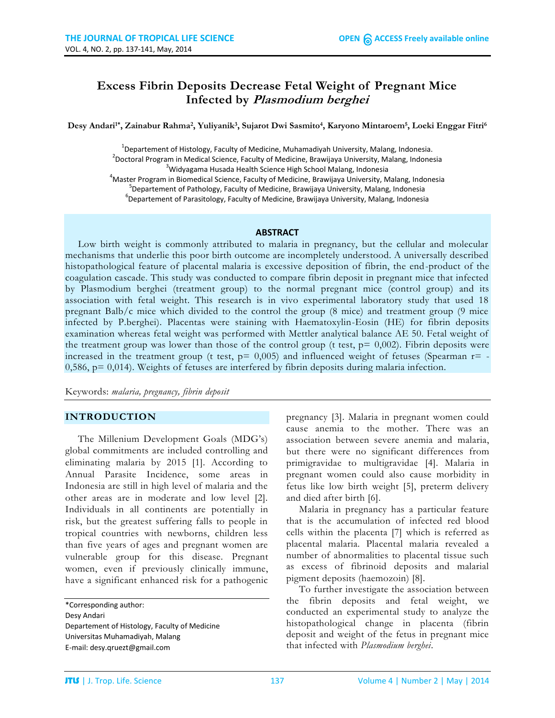# **Excess Fibrin Deposits Decrease Fetal Weight of Pregnant Mice Infected by Plasmodium berghei**

**Desy Andari1\* , Zainabur Rahma<sup>2</sup> , Yuliyanik<sup>3</sup> , Sujarot Dwi Sasmito<sup>4</sup> , Karyono Mintaroem<sup>5</sup> , Loeki Enggar Fitri<sup>6</sup>**

<sup>1</sup>Departement of Histology, Faculty of Medicine, Muhamadiyah University, Malang, Indonesia. <sup>2</sup>Doctoral Program in Medical Science, Faculty of Medicine, Brawijaya University, Malang, Indonesia <sup>3</sup>Widyagama Husada Health Science High School Malang, Indonesia <sup>4</sup>Master Program in Biomedical Science, Faculty of Medicine, Brawijaya University, Malang, Indonesia <sup>5</sup>Departement of Pathology, Faculty of Medicine, Brawijaya University, Malang, Indonesia <sup>6</sup>Departement of Parasitology, Faculty of Medicine, Brawijaya University, Malang, Indonesia

#### **ABSTRACT**

Low birth weight is commonly attributed to malaria in pregnancy, but the cellular and molecular mechanisms that underlie this poor birth outcome are incompletely understood. A universally described histopathological feature of placental malaria is excessive deposition of fibrin, the end-product of the coagulation cascade. This study was conducted to compare fibrin deposit in pregnant mice that infected by Plasmodium berghei (treatment group) to the normal pregnant mice (control group) and its association with fetal weight. This research is in vivo experimental laboratory study that used 18 pregnant Balb/c mice which divided to the control the group (8 mice) and treatment group (9 mice infected by P.berghei). Placentas were staining with Haematoxylin-Eosin (HE) for fibrin deposits examination whereas fetal weight was performed with Mettler analytical balance AE 50. Fetal weight of the treatment group was lower than those of the control group (t test,  $p = 0.002$ ). Fibrin deposits were increased in the treatment group (t test,  $p= 0,005$ ) and influenced weight of fetuses (Spearman  $r= -1$ 0,586,  $p = 0.014$ ). Weights of fetuses are interfered by fibrin deposits during malaria infection.

Keywords: *malaria, pregnancy, fibrin deposit*

### **INTRODUCTION**

The Millenium Development Goals (MDG's) global commitments are included controlling and eliminating malaria by 2015 [1]. According to Annual Parasite Incidence, some areas in Indonesia are still in high level of malaria and the other areas are in moderate and low level [2]. Individuals in all continents are potentially in risk, but the greatest suffering falls to people in tropical countries with newborns, children less than five years of ages and pregnant women are vulnerable group for this disease. Pregnant women, even if previously clinically immune, have a significant enhanced risk for a pathogenic

\*Corresponding author: Desy Andari Departement of Histology, Faculty of Medicine Universitas Muhamadiyah, Malang E-mail[: desy.qruezt@gmail.com](mailto:desy.qruezt@gmail.com)

pregnancy [3]. Malaria in pregnant women could cause anemia to the mother. There was an association between severe anemia and malaria, but there were no significant differences from primigravidae to multigravidae [4]. Malaria in pregnant women could also cause morbidity in fetus like low birth weight [5], preterm delivery and died after birth [6].

Malaria in pregnancy has a particular feature that is the accumulation of infected red blood cells within the placenta [7] which is referred as placental malaria. Placental malaria revealed a number of abnormalities to placental tissue such as excess of fibrinoid deposits and malarial pigment deposits (haemozoin) [8].

To further investigate the association between the fibrin deposits and fetal weight, we conducted an experimental study to analyze the histopathological change in placenta (fibrin deposit and weight of the fetus in pregnant mice that infected with *Plasmodium berghei*.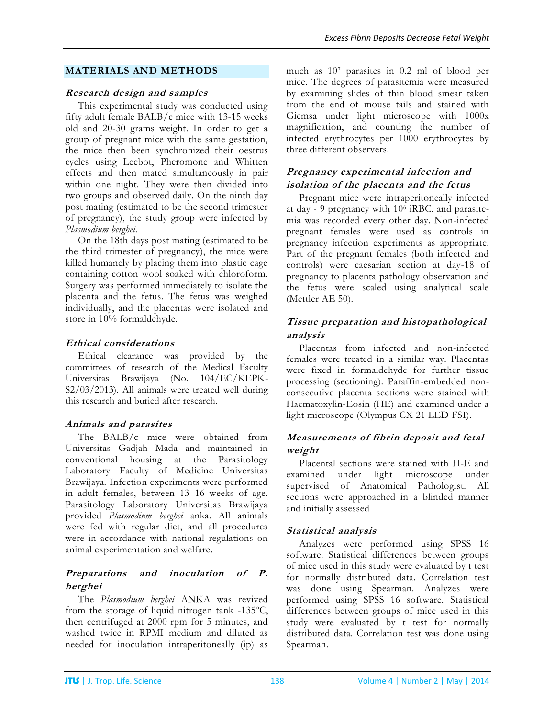### **MATERIALS AND METHODS**

### **Research design and samples**

This experimental study was conducted using fifty adult female BALB/c mice with 13-15 weeks old and 20-30 grams weight. In order to get a group of pregnant mice with the same gestation, the mice then been synchronized their oestrus cycles using Leebot, Pheromone and Whitten effects and then mated simultaneously in pair within one night. They were then divided into two groups and observed daily. On the ninth day post mating (estimated to be the second trimester of pregnancy), the study group were infected by *Plasmodium berghei.*

On the 18th days post mating (estimated to be the third trimester of pregnancy), the mice were killed humanely by placing them into plastic cage containing cotton wool soaked with chloroform. Surgery was performed immediately to isolate the placenta and the fetus. The fetus was weighed individually, and the placentas were isolated and store in 10% formaldehyde.

## **Ethical considerations**

Ethical clearance was provided by the committees of research of the Medical Faculty Universitas Brawijaya (No. 104/EC/KEPK-S2/03/2013). All animals were treated well during this research and buried after research.

## **Animals and parasites**

The BALB/c mice were obtained from Universitas Gadjah Mada and maintained in conventional housing at the Parasitology Laboratory Faculty of Medicine Universitas Brawijaya. Infection experiments were performed in adult females, between 13–16 weeks of age. Parasitology Laboratory Universitas Brawijaya provided *Plasmodium berghei* anka. All animals were fed with regular diet, and all procedures were in accordance with national regulations on animal experimentation and welfare.

# **Preparations and inoculation of P. berghei**

The *Plasmodium berghei* ANKA was revived from the storage of liquid nitrogen tank -135ºC, then centrifuged at 2000 rpm for 5 minutes, and washed twice in RPMI medium and diluted as needed for inoculation intraperitoneally (ip) as much as 10<sup>7</sup> parasites in 0.2 ml of blood per mice. The degrees of parasitemia were measured by examining slides of thin blood smear taken from the end of mouse tails and stained with Giemsa under light microscope with 1000x magnification, and counting the number of infected erythrocytes per 1000 erythrocytes by three different observers.

# **Pregnancy experimental infection and isolation of the placenta and the fetus**

Pregnant mice were intraperitoneally infected at day - 9 pregnancy with 10<sup>6</sup> iRBC, and parasitemia was recorded every other day. Non-infected pregnant females were used as controls in pregnancy infection experiments as appropriate. Part of the pregnant females (both infected and controls) were caesarian section at day-18 of pregnancy to placenta pathology observation and the fetus were scaled using analytical scale (Mettler AE 50).

# **Tissue preparation and histopathological analysis**

Placentas from infected and non-infected females were treated in a similar way. Placentas were fixed in formaldehyde for further tissue processing (sectioning). Paraffin-embedded nonconsecutive placenta sections were stained with Haematoxylin-Eosin (HE) and examined under a light microscope (Olympus CX 21 LED FSI).

## **Measurements of fibrin deposit and fetal weight**

Placental sections were stained with H-E and examined under light microscope under supervised of Anatomical Pathologist. All sections were approached in a blinded manner and initially assessed

## **Statistical analysis**

Analyzes were performed using SPSS 16 software. Statistical differences between groups of mice used in this study were evaluated by t test for normally distributed data. Correlation test was done using Spearman. Analyzes were performed using SPSS 16 software. Statistical differences between groups of mice used in this study were evaluated by t test for normally distributed data. Correlation test was done using Spearman.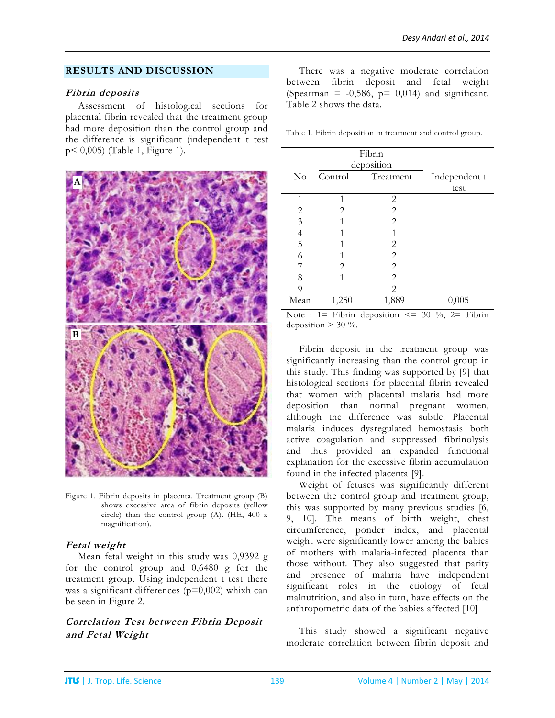### **RESULTS AND DISCUSSION**

#### **Fibrin deposits**

Assessment of histological sections for placental fibrin revealed that the treatment group had more deposition than the control group and the difference is significant (independent t test p< 0,005) (Table 1, Figure 1).



Figure 1. Fibrin deposits in placenta. Treatment group (B) shows excessive area of fibrin deposits (yellow circle) than the control group (A). (HE, 400 x magnification).

## **Fetal weight**

Mean fetal weight in this study was 0,9392 g for the control group and 0,6480 g for the treatment group. Using independent t test there was a significant differences  $(p=0,002)$  whixh can be seen in Figure 2.

# **Correlation Test between Fibrin Deposit and Fetal Weight**

There was a negative moderate correlation between fibrin deposit and fetal weight (Spearman =  $-0,586$ ,  $p= 0,014$ ) and significant. Table 2 shows the data.

Table 1. Fibrin deposition in treatment and control group.

|          |         | Fibrin         |               |
|----------|---------|----------------|---------------|
|          |         | deposition     |               |
| $\rm No$ | Control | Treatment      | Independent t |
|          |         |                | test          |
| 1        | 1       | 2              |               |
| 2        | 2       | 2              |               |
| 3        | 1       | $\overline{2}$ |               |
| 4        |         |                |               |
| 5        | 1       | 2              |               |
| 6        | 1       | 2              |               |
|          | 2       | 2              |               |
| 8        | 1       | 2              |               |
| 9        |         | 2              |               |
| Mean     | 1,250   | 1,889          | 0,005         |

Note :  $1 =$  Fibrin deposition  $\le$  30 %,  $2 =$  Fibrin deposition  $> 30$  %.

Fibrin deposit in the treatment group was significantly increasing than the control group in this study. This finding was supported by [9] that histological sections for placental fibrin revealed that women with placental malaria had more deposition than normal pregnant women, although the difference was subtle. Placental malaria induces dysregulated hemostasis both active coagulation and suppressed fibrinolysis and thus provided an expanded functional explanation for the excessive fibrin accumulation found in the infected placenta [9].

Weight of fetuses was significantly different between the control group and treatment group, this was supported by many previous studies [6, 9, 10]. The means of birth weight, chest circumference, ponder index, and placental weight were significantly lower among the babies of mothers with malaria-infected placenta than those without. They also suggested that parity and presence of malaria have independent significant roles in the etiology of fetal malnutrition, and also in turn, have effects on the anthropometric data of the babies affected [10]

This study showed a significant negative moderate correlation between fibrin deposit and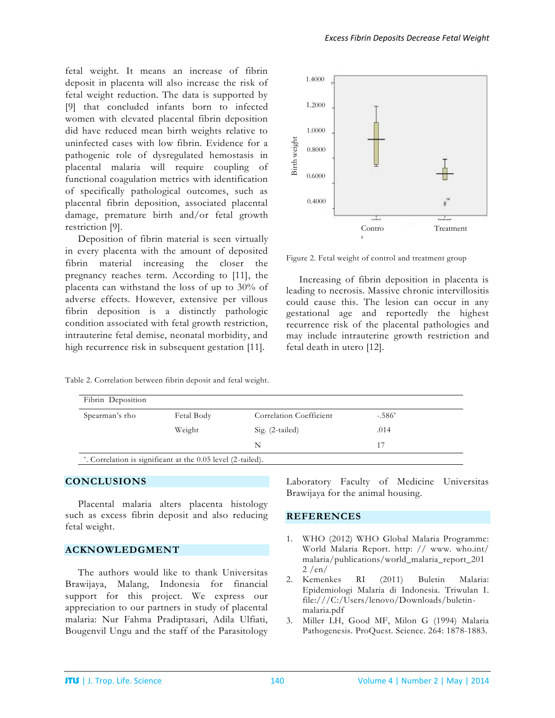fetal weight. It means an increase of fibrin deposit in placenta will also increase the risk of fetal weight reduction. The data is supported by [9] that concluded infants born to infected women with elevated placental fibrin deposition did have reduced mean birth weights relative to uninfected cases with low fibrin. Evidence for a pathogenic role of dysregulated hemostasis in placental malaria will require coupling of functional coagulation metrics with identification of specifically pathological outcomes, such as placental fibrin deposition, associated placental damage, premature birth and/or fetal growth restriction [9].

Deposition of fibrin material is seen virtually in every placenta with the amount of deposited fibrin material increasing the closer the pregnancy reaches term. According to [11], the placenta can withstand the loss of up to 30% of adverse effects. However, extensive per villous fibrin deposition is a distinctly pathologic condition associated with fetal growth restriction, intrauterine fetal demise, neonatal morbidity, and high recurrence risk in subsequent gestation [11].

*Excess Fibrin Deposits Decrease Fetal Weight*



Figure 2. Fetal weight of control and treatment group

Increasing of fibrin deposition in placenta is leading to necrosis. Massive chronic intervillositis could cause this. The lesion can occur in any gestational age and reportedly the highest recurrence risk of the placental pathologies and may include intrauterine growth restriction and fetal death in utero [12].

| Spearman's rho | Fetal Body | Correlation Coefficient | $-.586'$ |
|----------------|------------|-------------------------|----------|
|                | Weight     | Sig. (2-tailed)         | .014     |
|                |            | N                       | 17       |

Table 2. Correlation between fibrin deposit and fetal weight.

### **CONCLUSIONS**

Placental malaria alters placenta histology such as excess fibrin deposit and also reducing fetal weight.

#### **ACKNOWLEDGMENT**

The authors would like to thank Universitas Brawijaya, Malang, Indonesia for financial support for this project. We express our appreciation to our partners in study of placental malaria: Nur Fahma Pradiptasari, Adila Ulfiati, Bougenvil Ungu and the staff of the Parasitology

Laboratory Faculty of Medicine Universitas Brawijaya for the animal housing.

#### **REFERENCES**

- 1. WHO (2012) WHO Global Malaria Programme: World Malaria Report. http: // www. who.int/ malaria/publications/world\_malaria\_report\_201 2 /en/
- 2. Kemenkes RI (2011) Buletin Malaria: Epidemiologi Malaria di Indonesia. Triwulan I. file:///C:/Users/lenovo/Downloads/buletinmalaria.pdf
- 3. Miller LH, Good MF, Milon G (1994) Malaria Pathogenesis*.* ProQuest. Science. 264: 1878-1883.